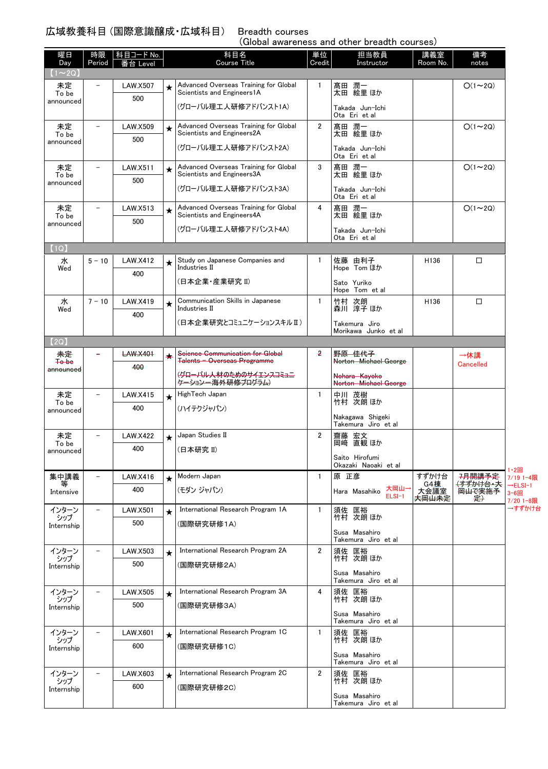(Global awareness and other breadth courses)

| 曜日<br>Day            | 時限<br>Period             | │科目コード No.<br>番台 Level |            | 科目名<br><b>Course Title</b>                                          | 単位<br>Credit   | 担当教員<br>Instructor                      | 講義室<br>Room No.     | 備考<br>notes                   |                              |
|----------------------|--------------------------|------------------------|------------|---------------------------------------------------------------------|----------------|-----------------------------------------|---------------------|-------------------------------|------------------------------|
| $1 \sim 2Q$          |                          |                        |            |                                                                     |                |                                         |                     |                               |                              |
| 未定<br>To be          | $\overline{\phantom{0}}$ | <b>LAW.X507</b>        | $\star$    | Advanced Overseas Training for Global<br>Scientists and Engineers1A | 1              | 髙田 潤一<br>太田 絵里 ほか                       |                     | $O(1\sim 2Q)$                 |                              |
| announced            |                          | 500                    |            | (グローバル理工人研修アドバンスト1A)                                                |                | Takada Jun-Ichi                         |                     |                               |                              |
|                      |                          |                        |            |                                                                     |                | Ota Eri et al                           |                     |                               |                              |
| 未定<br>To be          | $\overline{\phantom{0}}$ | <b>LAW.X509</b>        | $\bigstar$ | Advanced Overseas Training for Global<br>Scientists and Engineers2A | $\overline{2}$ | 髙田 潤一<br>太田 絵里 ほか                       |                     | $O(1\sim 2Q)$                 |                              |
| announced            |                          | 500                    |            | (グローバル理工人研修アドバンスト2A)                                                |                | Takada Jun-Ichi                         |                     |                               |                              |
|                      | $\overline{\phantom{0}}$ |                        |            | Advanced Overseas Training for Global                               | 3              | Ota Eri et al                           |                     | $O(1\sim 2Q)$                 |                              |
| 未定<br>To be          |                          | LAW.X511<br>500        | $\star$    | Scientists and Engineers3A                                          |                | 髙田 潤一<br>太田 絵里 ほか                       |                     |                               |                              |
| announced            |                          |                        |            | (グローバル理工人研修アドバンスト3A)                                                |                | Takada Jun-Ichi                         |                     |                               |                              |
| 未定                   | $\overline{\phantom{0}}$ | LAW.X513               | $\star$    | Advanced Overseas Training for Global                               | 4              | Ota Eri et al<br>髙田 潤一                  |                     | $O(1\sim 2Q)$                 |                              |
| To be<br>announced   |                          | 500                    |            | Scientists and Engineers4A                                          |                | 太田 絵里 ほか                                |                     |                               |                              |
|                      |                          |                        |            | (グローバル理工人研修アドバンスト4A)                                                |                | Takada Jun-Ichi<br>Ota Eri et al        |                     |                               |                              |
| (1Q)                 |                          |                        |            |                                                                     |                |                                         |                     |                               |                              |
| 水                    | $5 - 10$                 | LAW.X412               | ★          | Study on Japanese Companies and<br><b>Industries II</b>             | $\mathbf{1}$   | 佐藤 由利子                                  | H <sub>136</sub>    | □                             |                              |
| Wed                  |                          | 400                    |            | (日本企業・産業研究 II)                                                      |                | Hope Tom ほか                             |                     |                               |                              |
|                      |                          |                        |            |                                                                     |                | Sato Yuriko<br>Hope Tom et al           |                     |                               |                              |
| 水<br>Wed             | $7 - 10$                 | LAW.X419               | $\star$    | Communication Skills in Japanese<br>Industries II                   | $\mathbf{1}$   | 竹村 次朗<br>森川 淳子ほか                        | H136                | $\Box$                        |                              |
|                      |                          | 400                    |            | (日本企業研究とコミュニケーションスキルⅡ)                                              |                | Takemura Jiro                           |                     |                               |                              |
|                      |                          |                        |            |                                                                     |                | Morikawa Junko et al                    |                     |                               |                              |
| (2Q)<br>未定           | -                        | <b>LAW.X401</b>        |            | Science Communication for Global                                    | 2              | 野原 佳代子                                  |                     |                               |                              |
| <b>To be</b>         |                          | 400                    | ★          | Talents - Overseas Programme                                        |                | Norton Michael George                   |                     | →休講<br><b>Cancelled</b>       |                              |
| <del>announced</del> |                          |                        |            | (グローバル人材のためのサイエンスヨミュニ<br><del>ケーション一海外研修プログラム</del>                 |                | Nohara Kayoko<br>Norton Michael George  |                     |                               |                              |
| 未定                   | $\overline{\phantom{0}}$ | LAW.X415               | $\star$    | HighTech Japan                                                      | $\mathbf{1}$   | 中川 茂樹                                   |                     |                               |                              |
| To be<br>announced   |                          | 400                    |            | (ハイテクジャパン)                                                          |                | 竹村 次朗 ほか                                |                     |                               |                              |
|                      |                          |                        |            |                                                                     |                | Nakagawa Shigeki<br>Takemura Jiro et al |                     |                               |                              |
| 未定                   | $\overline{\phantom{0}}$ | <b>LAW.X422</b>        | $\star$    | Japan Studies II                                                    | $\overline{2}$ | 齋藤 宏文                                   |                     |                               |                              |
| To be<br>announced   |                          | 400                    |            | (日本研究Ⅱ)                                                             |                | 岡﨑 直観 ほか                                |                     |                               |                              |
|                      |                          |                        |            |                                                                     |                | Saito Hirofumi<br>Okazaki Naoaki et al  |                     |                               | 1・2回                         |
| 集中講義<br>等            | $\overline{\phantom{a}}$ | LAW.X416               | $\star$    | Modern Japan                                                        | $\mathbf{1}$   | 原 正彦                                    | すずかけ台<br><b>G4棟</b> | 7月開講予定<br><del>(すずかけ台・大</del> | 7/19 1-4限                    |
| Intensive            |                          | 400                    |            | (モダン ジャパン)                                                          |                | 大岡山-<br>Hara Masahiko<br>$ELSI-1$       | 大会議室<br>夫岡山未定       | 岡山で実施予<br>是)                  | $\rightarrow$ ELSI-1<br>3-6回 |
| インターン                | $\qquad \qquad -$        | <b>LAW.X501</b>        | $\star$    | International Research Program 1A                                   | $\mathbf{1}$   | 須佐 匡裕                                   |                     |                               | 7/20 1-8限<br>→すずかけ台          |
| シップ<br>Internship    |                          | 500                    |            | (国際研究研修1A)                                                          |                | 竹村 次朗 ほか                                |                     |                               |                              |
|                      |                          |                        |            |                                                                     |                | Susa Masahiro<br>Takemura Jiro et al    |                     |                               |                              |
| インターン                | $\overline{\phantom{0}}$ | <b>LAW.X503</b>        | $\star$    | International Research Program 2A                                   | 2              | 須佐 匡裕                                   |                     |                               |                              |
| シップ<br>Internship    |                          | 500                    |            | (国際研究研修2A)                                                          |                | 竹村 次朗 ほか                                |                     |                               |                              |
|                      |                          |                        |            |                                                                     |                | Susa Masahiro<br>Takemura Jiro et al    |                     |                               |                              |
| インターン<br>シップ         | $\qquad \qquad -$        | <b>LAW.X505</b>        | $\star$    | International Research Program 3A                                   | 4              | 須佐 匡裕<br>竹村 次朗ほか                        |                     |                               |                              |
| Internship           |                          | 500                    |            | (国際研究研修3A)                                                          |                | Susa Masahiro                           |                     |                               |                              |
|                      |                          |                        |            |                                                                     |                | Takemura Jiro et al                     |                     |                               |                              |
| インターン<br>シップ         |                          | LAW.X601               | $\star$    | International Research Program 1C                                   | $\mathbf{1}$   | 須佐 匡裕<br>竹村 次朗ほか                        |                     |                               |                              |
| Internship           |                          | 600                    |            | (国際研究研修1C)                                                          |                | Susa Masahiro                           |                     |                               |                              |
|                      |                          |                        |            |                                                                     |                | Takemura Jiro et al                     |                     |                               |                              |
| インターン<br>シップ         | $\overline{\phantom{m}}$ | LAW.X603               | $\star$    | International Research Program 2C                                   | $\overline{2}$ | 須佐 匡裕<br>竹村 次朗 ほか                       |                     |                               |                              |
| Internship           |                          | 600                    |            | (国際研究研修2C)                                                          |                | Susa Masahiro                           |                     |                               |                              |
|                      |                          |                        |            |                                                                     |                | Takemura Jiro et al                     |                     |                               |                              |